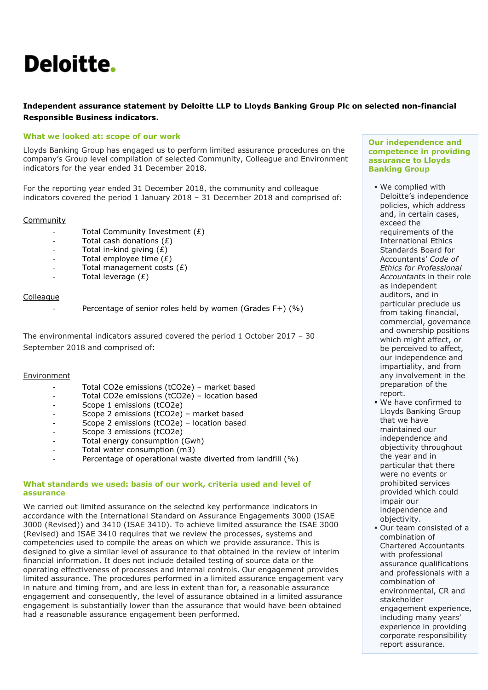# Deloitte.

# **Independent assurance statement by Deloitte LLP to Lloyds Banking Group Plc on selected non-financial Responsible Business indicators.**

## **What we looked at: scope of our work**

Lloyds Banking Group has engaged us to perform limited assurance procedures on the company's Group level compilation of selected Community, Colleague and Environment indicators for the year ended 31 December 2018.

For the reporting year ended 31 December 2018, the community and colleague indicators covered the period 1 January 2018 – 31 December 2018 and comprised of:

## Community

- Total Community Investment (£)
- Total cash donations (£)
- Total in-kind giving  $(\hat{E})$
- Total employee time  $(E)$
- $-$  Total management costs  $(E)$
- Total leverage  $(E)$

## Colleague

Percentage of senior roles held by women (Grades F+) (%)

The environmental indicators assured covered the period 1 October 2017 – 30 September 2018 and comprised of:

#### Environment

- Total CO2e emissions (tCO2e) market based
- Total CO2e emissions (tCO2e) location based
- Scope 1 emissions (tCO2e)
- Scope 2 emissions (tCO2e) market based
- Scope 2 emissions (tCO2e) location based
- Scope 3 emissions (tCO2e)
- Total energy consumption (Gwh)
- Total water consumption (m3)
- Percentage of operational waste diverted from landfill (%)

## **What standards we used: basis of our work, criteria used and level of assurance**

We carried out limited assurance on the selected key performance indicators in accordance with the International Standard on Assurance Engagements 3000 (ISAE 3000 (Revised)) and 3410 (ISAE 3410). To achieve limited assurance the ISAE 3000 (Revised) and ISAE 3410 requires that we review the processes, systems and competencies used to compile the areas on which we provide assurance. This is designed to give a similar level of assurance to that obtained in the review of interim financial information. It does not include detailed testing of source data or the operating effectiveness of processes and internal controls. Our engagement provides limited assurance. The procedures performed in a limited assurance engagement vary in nature and timing from, and are less in extent than for, a reasonable assurance engagement and consequently, the level of assurance obtained in a limited assurance engagement is substantially lower than the assurance that would have been obtained had a reasonable assurance engagement been performed.

#### **Our independence and competence in providing assurance to Lloyds Banking Group**

- We complied with Deloitte's independence policies, which address and, in certain cases, exceed the requirements of the International Ethics Standards Board for Accountants' *Code of Ethics for Professional Accountants* in their role as independent auditors, and in particular preclude us from taking financial, commercial, governance and ownership positions which might affect, or be perceived to affect, our independence and impartiality, and from any involvement in the preparation of the report.
- We have confirmed to Lloyds Banking Group that we have maintained our independence and objectivity throughout the year and in particular that there were no events or prohibited services provided which could impair our independence and objectivity.
- Our team consisted of a combination of Chartered Accountants with professional assurance qualifications and professionals with a combination of environmental, CR and stakeholder engagement experience, including many years' experience in providing corporate responsibility report assurance.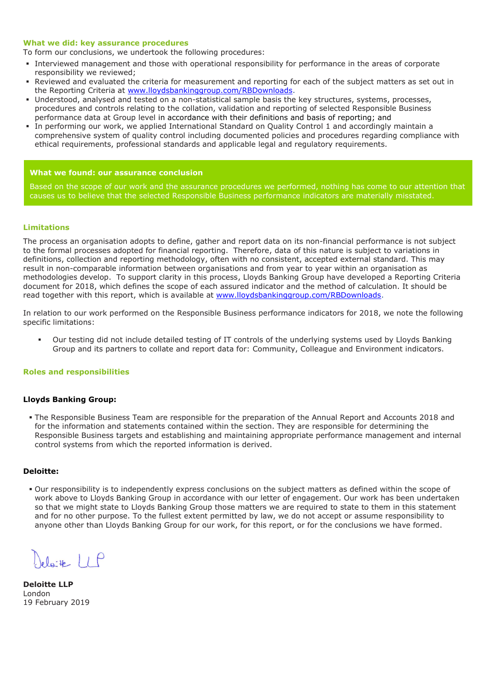#### **What we did: key assurance procedures**

To form our conclusions, we undertook the following procedures:

- Interviewed management and those with operational responsibility for performance in the areas of corporate responsibility we reviewed;
- Reviewed and evaluated the criteria for measurement and reporting for each of the subject matters as set out in the Reporting Criteria at [www.lloydsbankinggroup.com/RBDownloads.](http://www.lloydsbankinggroup.com/RBDownloads)
- Understood, analysed and tested on a non-statistical sample basis the key structures, systems, processes, procedures and controls relating to the collation, validation and reporting of selected Responsible Business performance data at Group level in accordance with their definitions and basis of reporting; and
- In performing our work, we applied International Standard on Quality Control 1 and accordingly maintain a comprehensive system of quality control including documented policies and procedures regarding compliance with ethical requirements, professional standards and applicable legal and regulatory requirements.

#### **What we found: our assurance conclusion**

Based on the scope of our work and the assurance procedures we performed, nothing has come to our attention that causes us to believe that the selected Responsible Business performance indicators are materially misstated.

### **Limitations**

The process an organisation adopts to define, gather and report data on its non-financial performance is not subject to the formal processes adopted for financial reporting. Therefore, data of this nature is subject to variations in definitions, collection and reporting methodology, often with no consistent, accepted external standard. This may result in non-comparable information between organisations and from year to year within an organisation as methodologies develop. To support clarity in this process, Lloyds Banking Group have developed a Reporting Criteria document for 2018, which defines the scope of each assured indicator and the method of calculation. It should be read together with this report, which is available at [www.lloydsbankinggroup.com/RBDownloads.](http://www.lloydsbankinggroup.com/RBDownloads)

In relation to our work performed on the Responsible Business performance indicators for 2018, we note the following specific limitations:

 Our testing did not include detailed testing of IT controls of the underlying systems used by Lloyds Banking Group and its partners to collate and report data for: Community, Colleague and Environment indicators.

### **Roles and responsibilities**

#### **Lloyds Banking Group:**

 The Responsible Business Team are responsible for the preparation of the Annual Report and Accounts 2018 and for the information and statements contained within the section. They are responsible for determining the Responsible Business targets and establishing and maintaining appropriate performance management and internal control systems from which the reported information is derived.

#### **Deloitte:**

 Our responsibility is to independently express conclusions on the subject matters as defined within the scope of work above to Lloyds Banking Group in accordance with our letter of engagement. Our work has been undertaken so that we might state to Lloyds Banking Group those matters we are required to state to them in this statement and for no other purpose. To the fullest extent permitted by law, we do not accept or assume responsibility to anyone other than Lloyds Banking Group for our work, for this report, or for the conclusions we have formed.

 $e^{\int e^+e^-}$  / /  $\rho$ 

**Deloitte LLP**  London 19 February 2019